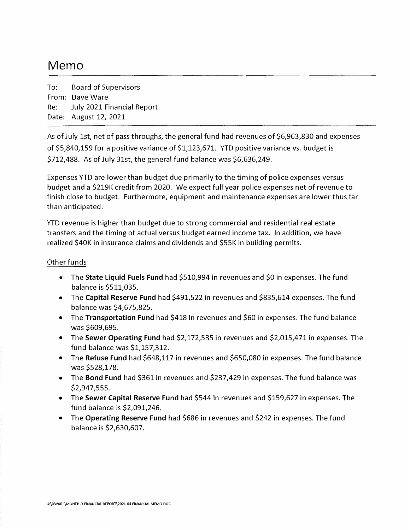# Memo

To: From: Dave Ware Board of Supervisors Re: Date: August 12, 2021 July 2021 Financial Report

As of July 1st, net of pass throughs, the general fund had revenues of \$6,963,830 and expenses of \$5,840,159 for a positive variance of \$1,123,671. YTD positive variance vs. budget is \$712,488. As of July 31st, the general fund balance was \$6,636,249.

Expenses YTD are lower than budget due primarily to the timing of police expenses versus budget and a \$219K credit from 2020. We expect full year police expenses net of revenue to finish close to budget. Furthermore, equipment and maintenance expenses are lower thus far than anticipated.

YTD revenue is higher than budget due to strong commercial and residential real estate transfers and the timing of actual versus budget earned income tax. In addition, we have realized \$40K in insurance claims and dividends and \$55K in building permits.

#### Other funds

- The **State Liquid Fuels Fund** had \$510,994 in revenues and \$0 in expenses. The fund balance is \$511,035.
- The **Capital Reserve Fund** had \$491,522 in revenues and \$835,614 expenses. The fund balance was \$4,675,825.
- The **Transportation Fund** had \$418 in revenues and \$60 in expenses. The fund balance was \$609,695.
- The **Sewer Operating Fund** had \$2,172,535 in revenues and \$2,015,471 in expenses. The fund balance was \$1,157,312.
- The **Refuse Fund** had \$648,117 in revenues and \$650,080 in expenses. The fund balance was \$528,178.
- The **Bond Fund** had \$361 in revenues and \$237,429 in expenses. The fund balance was \$2,947,555.
- The **Sewer Capital Reserve Fund** had \$544 in revenues and \$159,627 in expenses. The fund balance is \$2,091,246.
- The **Operating Reserve Fund** had \$686 in revenues and \$242 in expenses. The fund balance is \$2,630,607.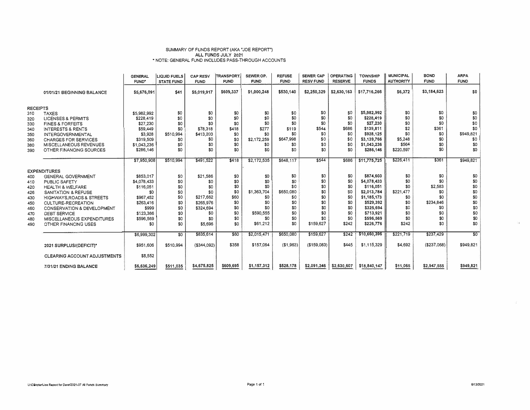#### SUMMARY OF FUNDS REPORT (AKA "JOE REPORT") ALL FUNDS JULY 2021 "NOTE: GENERAL FUND INCLUDES PASS-THROUGH ACCOUNTS

|                 |                                                   | <b>GENERAL</b>     | <b>LIQUID FUELS</b> | <b>CAP RESV</b>  | TRANSPORT.  | SEWER OP.   | <b>REFUSE</b> | <b>SEWER CAP</b> | <b>OPERATING</b> | <b>TOWNSHIP</b>          | <b>MUNICIPAL</b> | <b>BOND</b>  | <b>ARPA</b>     |
|-----------------|---------------------------------------------------|--------------------|---------------------|------------------|-------------|-------------|---------------|------------------|------------------|--------------------------|------------------|--------------|-----------------|
|                 |                                                   | FUND <sup>*</sup>  | <b>STATE FUND</b>   | <b>FUND</b>      | <b>FUND</b> | <b>FUND</b> | <b>FUND</b>   | <b>RESV FUND</b> | <b>RESERVE</b>   | <b>FUNDS</b>             | <b>AUTHORITY</b> | <b>FUND</b>  | <b>FUND</b>     |
|                 | 01/01/21 BEGINNING BALANCE                        | \$5,676,091        | \$41                | \$5,019,917      | \$609,337   | \$1,000,248 | \$530,140     | \$2,250,329      | \$2,630,163      | \$17,716,266             | \$6,372          | \$3,184,623  | \$0             |
| <b>RECEIPTS</b> |                                                   |                    |                     |                  |             |             |               |                  |                  |                          |                  |              |                 |
| 310             | <b>TAXES</b>                                      | \$5,982,992        | \$0                 | \$0              | \$0         | \$0         | \$0           | \$0              | \$0              | \$5,982,992              | \$0              | \$0          | \$0             |
| 320             | <b>LICENSES &amp; PERMITS</b>                     | \$228.419          | \$0                 | \$0              | \$0         | \$0         | \$0           | \$0              | \$0              | \$228,419                | \$0              | \$0          | \$0             |
| 330             | <b>FINES &amp; FORFEITS</b>                       | \$27,230           | \$0                 | \$0              | \$0         | \$0         | \$0           | \$0              | \$0              | \$27,230                 | \$0              | \$0          | \$0             |
| 340             | <b>INTERESTS &amp; RENTS</b>                      | \$59,449           | \$0                 | \$78,318         | \$418       | \$277       | \$119         | \$544            | \$686            | \$139,811                | \$2              | \$361        | \$0             |
| 350             | <b>INTERGOVERNMENTAL</b>                          | \$3,928            | \$510.994           | \$413,203        | \$0         | \$0         | \$0           | \$0              | \$0              | \$928,125                | \$0              | \$0          | \$949,821       |
| 360             | <b>CHARGES FOR SERVICES</b>                       | \$319,509          | \$0                 | \$0              | \$0         | \$2.172,259 | \$647,998     | \$0              | \$0              | \$3,139,766              | \$5,248          | \$0          | \$0             |
| 380             | MISCELLANEOUS REVENUES                            | \$1,043,236        | \$0                 | \$0              | \$0         | \$0         | \$0           | \$0              | \$0              | \$1,043,236              | \$564            | \$0          | \$0             |
| 390             | OTHER FINANCING SOURCES                           | \$286,146          | \$0                 | \$0              | \$0         | \$0         | \$0           | \$0              | \$0              | \$286,146                | \$220,597        | \$0          | \$0             |
|                 |                                                   |                    |                     |                  |             |             |               |                  |                  |                          |                  |              |                 |
|                 |                                                   | \$7,950,908        | \$510,994           | \$491,522        | \$418       | \$2,172,535 | \$648.117     | \$544            | \$686            | \$11,775,725             | \$226,411        | \$361        | \$949,821       |
|                 |                                                   |                    |                     |                  |             |             |               |                  |                  |                          |                  |              |                 |
|                 | <b>EXPENDITURES</b>                               |                    |                     |                  |             |             |               |                  | \$0              |                          |                  |              |                 |
| 400             | <b>GENERAL GOVERNMENT</b>                         | \$853,017          | \$0                 | \$21,586         | \$0         | \$0         | \$0           | \$0<br>\$0       |                  | \$874,603<br>\$4,078,433 | \$0<br>\$0       | \$0<br>\$0   | \$0             |
| 410             | PUBLIC SAFETY                                     | \$4,078,433        | \$0                 | \$0<br>\$0       | \$0         | \$0<br>\$0  | \$0<br>\$0    | \$0              | \$0<br>\$0       |                          | \$0              | \$2,583      | \$0             |
| 420             | <b>HEALTH &amp; WELFARE</b>                       | \$116,051          | \$0                 |                  | \$0<br>\$0  | \$1,363,704 | \$650,080     | \$0              | S <sub>0</sub>   | \$116,051                | \$221,477        | \$0          | \$0             |
| 426             | SANITATION & REFUSE                               | \$0                | \$0                 | \$0<br>\$217,662 | \$60        | \$0         | \$0           | \$0              | \$0              | \$2,013,784              |                  | \$0          | \$0             |
| 430             | <b>HIGHWAYS, ROADS &amp; STREETS</b>              | \$967,452          | \$0<br>\$0          | \$265,976        |             | \$0         | \$0           | \$0              | \$0              | \$1,185,173<br>\$529,392 | \$0<br>\$0       | \$234.846    | \$0<br>\$0      |
| 450             | CULTURE-RECREATION                                | \$263,416          | \$0                 | \$324,694        | \$0<br>\$0  | \$0         | \$0           | \$0              | \$0              | \$325,694                | \$0              | 50           | \$0             |
| 460             | CONSERVATION & DEVELOPMENT                        | \$999<br>\$123,366 | \$0                 |                  | \$0         | \$590,555   | \$0           | \$0              | \$0              | \$713,921                | \$0              | \$0          | \$0             |
| 470             | <b>DEBT SERVICE</b><br>MISCELLANEOUS EXPENDITURES |                    | \$0                 | \$0<br>\$0       | \$0         | \$0         | \$0           | \$0              | \$0              | \$596,569                | \$0              | \$0          | \$0             |
| 480             |                                                   | \$596,569<br>\$0   | \$0                 | \$5,696          | \$0         | \$61,212    | \$0           | \$159,627        | \$242            | \$226,776                | \$242            | \$0          | \$0             |
| 490             | OTHER FINANCING USES                              |                    |                     |                  |             |             |               |                  |                  |                          |                  |              |                 |
|                 |                                                   | \$6,999,302        | \$0                 | \$835,614        | \$60        | \$2,015,471 | \$650,080     | \$159,627        | \$242            | \$10,660,396             | \$221,719        | \$237,429    | $\overline{30}$ |
|                 |                                                   |                    |                     |                  |             |             |               |                  |                  |                          |                  |              |                 |
|                 | 2021 SURPLUS/(DEFICIT)*                           | \$951,606          | \$510.994           | $($ \$344,092)   | \$358       | \$157,064   | ( \$1, 963)   | (\$159,083)      | \$445            | \$1,115,329              | \$4,692          | ( \$237,068) | \$949,821       |
|                 | <b>CLEARING ACCOUNT ADJUSTMENTS</b>               | \$8,552            |                     |                  |             |             |               |                  |                  |                          |                  |              |                 |
|                 | 7/31/21 ENDING BALANCE                            | \$6,636,249        | \$511,035           | \$4,675,825      | \$609,695   | \$1,157,312 | \$528,178     | \$2,091,246      | \$2,630,607      | \$18,840,147             | \$11,065         | \$2,947,555  | \$949,821       |

8/13/2021

52

 $\mathcal{L}^{\mathcal{L}}$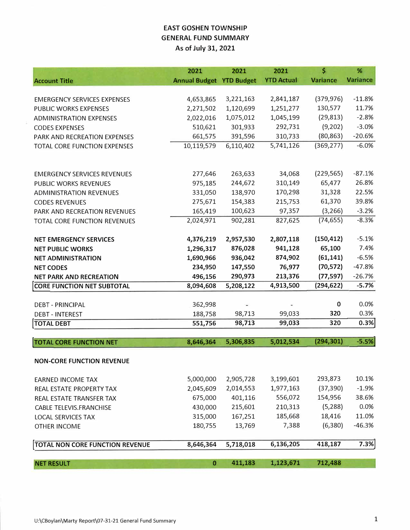### **EAST GOSHEN TOWNSHIP GENERAL FUND SUMMARY As of July 31, 2021**

|                                     | 2021                            | 2021           | 2021              | \$              | %               |
|-------------------------------------|---------------------------------|----------------|-------------------|-----------------|-----------------|
| <b>Account Title</b>                | <b>Annual Budget YTD Budget</b> |                | <b>YTD Actual</b> | <b>Variance</b> | <b>Variance</b> |
|                                     |                                 |                |                   |                 |                 |
| <b>EMERGENCY SERVICES EXPENSES</b>  | 4,653,865                       | 3,221,163      | 2,841,187         | (379, 976)      | $-11.8%$        |
| PUBLIC WORKS EXPENSES               | 2,271,502                       | 1,120,699      | 1,251,277         | 130,577         | 11.7%           |
| <b>ADMINISTRATION EXPENSES</b>      | 2,022,016                       | 1,075,012      | 1,045,199         | (29, 813)       | $-2.8%$         |
| <b>CODES EXPENSES</b>               | 510,621                         | 301,933        | 292,731           | (9,202)         | $-3.0%$         |
| PARK AND RECREATION EXPENSES        | 661,575                         | 391,596        | 310,733           | (80, 863)       | $-20.6%$        |
| TOTAL CORE FUNCTION EXPENSES        | 10,119,579                      | 6,110,402      | 5,741,126         | (369, 277)      | $-6.0%$         |
|                                     |                                 |                |                   |                 |                 |
| <b>EMERGENCY SERVICES REVENUES</b>  | 277,646                         | 263,633        | 34,068            | (229, 565)      | $-87.1%$        |
| <b>PUBLIC WORKS REVENUES</b>        | 975,185                         | 244,672        | 310,149           | 65,477          | 26.8%           |
| <b>ADMINISTRATION REVENUES</b>      | 331,050                         | 138,970        | 170,298           | 31,328          | 22.5%           |
| <b>CODES REVENUES</b>               | 275,671                         | 154,383        | 215,753           | 61,370          | 39.8%           |
| PARK AND RECREATION REVENUES        | 165,419                         | 100,623        | 97,357            | (3, 266)        | $-3.2%$         |
| <b>TOTAL CORE FUNCTION REVENUES</b> | 2,024,971                       | 902,281        | 827,625           | (74, 655)       | $-8.3%$         |
|                                     |                                 |                |                   |                 |                 |
| <b>NET EMERGENCY SERVICES</b>       | 4,376,219                       | 2,957,530      | 2,807,118         | (150, 412)      | $-5.1%$         |
| <b>NET PUBLIC WORKS</b>             | 1,296,317                       | 876,028        | 941,128           | 65,100          | 7.4%            |
| <b>NET ADMINISTRATION</b>           | 1,690,966                       | 936,042        | 874,902           | (61, 141)       | $-6.5%$         |
| <b>NET CODES</b>                    | 234,950                         | 147,550        | 76,977            | (70, 572)       | $-47.8%$        |
| <b>NET PARK AND RECREATION</b>      | 496,156                         | 290,973        | 213,376           | (77, 597)       | $-26.7%$        |
| <b>CORE FUNCTION NET SUBTOTAL</b>   | 8,094,608                       | 5,208,122      | 4,913,500         | (294, 622)      | $-5.7%$         |
|                                     |                                 |                |                   |                 |                 |
| <b>DEBT - PRINCIPAL</b>             | 362,998                         | $\overline{ }$ |                   | 0               | 0.0%            |
| <b>DEBT - INTEREST</b>              | 188,758                         | 98,713         | 99,033            | 320             | 0.3%            |
| <b>TOTAL DEBT</b>                   | 551,756                         | 98,713         | 99,033            | 320             | 0.3%            |
| <b>TOTAL CORE FUNCTION NET</b>      | 8,646,364                       | 5,306,835      | 5,012,534         | (294, 301)      | $-5.5%$         |
|                                     |                                 |                |                   |                 |                 |
| <b>NON-CORE FUNCTION REVENUE</b>    |                                 |                |                   |                 |                 |
| <b>EARNED INCOME TAX</b>            | 5,000,000                       | 2,905,728      | 3,199,601         | 293,873         | 10.1%           |
| REAL ESTATE PROPERTY TAX            | 2,045,609                       | 2,014,553      | 1,977,163         | (37, 390)       | $-1.9%$         |
| REAL ESTATE TRANSFER TAX            | 675,000                         | 401,116        | 556,072           | 154,956         | 38.6%           |
| CABLE TELEVIS.FRANCHISE             | 430,000                         | 215,601        | 210,313           | (5, 288)        | 0.0%            |
| <b>LOCAL SERVICES TAX</b>           | 315,000                         | 167,251        | 185,668           | 18,416          | 11.0%           |
| <b>OTHER INCOME</b>                 | 180,755                         | 13,769         | 7,388             | (6, 380)        | $-46.3%$        |
| TOTAL NON CORE FUNCTION REVENUE     | 8,646,364                       | 5,718,018      | 6,136,205         | 418,187         | 7.3%            |
|                                     |                                 |                |                   |                 |                 |
| <b>NET RESULT</b>                   | 0                               | 411,183        | 1,123,671         | 712,488         |                 |

 $\bar{\nu}$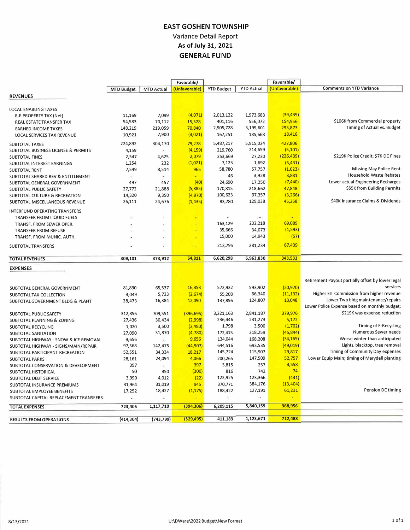### **EAST GOSHEN TOWNSHIP**  Variance Detail Report **As of July 31, 2021 GENERAL FUND**

|                                        |                   |                   | Favorable/    |                   |                   | Favorable/    |                                                   |
|----------------------------------------|-------------------|-------------------|---------------|-------------------|-------------------|---------------|---------------------------------------------------|
|                                        | <b>MTD Budget</b> | <b>MTD Actual</b> | (Unfavorable) | <b>YTD Budget</b> | <b>YTD Actual</b> | (Unfavorable) | <b>Comments on YTD Variance</b>                   |
| <b>REVENUES</b>                        |                   |                   |               |                   |                   |               |                                                   |
|                                        |                   |                   |               |                   |                   |               |                                                   |
| LOCAL ENABLING TAXES                   |                   |                   |               |                   |                   |               |                                                   |
| R.E.PROPERTY TAX (Net)                 | 11,169            | 7,099             | (4,071)       | 2,013,122         | 1,973,683         | (39, 439)     |                                                   |
| REAL ESTATE TRANSFER TAX               | 54,583            | 70,112            | 15,528        | 401,116           | 556,072           | 154,956       | \$106K from Commercial property                   |
| <b>EARNED INCOME TAXES</b>             | 148,219           | 219,059           | 70,840        | 2,905,728         | 3,199,601         | 293,873       | Timing of Actual vs. Budget                       |
| <b>LOCAL SERVICES TAX REVENUE</b>      | 10,921            | 7,900             | (3,021)       | 167,251           | 185,668           | 18,416        |                                                   |
| SUBTOTAL TAXES                         | 224,892           | 304,170           | 79,278        | 5,487,217         | 5,915,024         | 427,806       |                                                   |
| SUBTOTAL BUSINESS LICENSE & PERMITS    | 4,159             |                   | (4, 159)      | 219,760           | 214,659           | (5, 101)      |                                                   |
| <b>SUBTOTAL FINES</b>                  | 2,547             | 4,625             | 2,079         | 253,669           | 27,230            | (226, 439)    | \$219K Police Credit; \$7K DC Fines               |
| SUBTOTAL INTEREST EARNINGS             | 1,254             | 232               | (1,021)       | 7,123             | 1,692             | (5, 431)      |                                                   |
| <b>SUBTOTAL RENT</b>                   | 7,549             | 8,514             | 965           | 58,780            | 57,757            | (1,023)       | <b>Missing May Police Rent</b>                    |
| SUBTOTAL SHARED REV & ENTITLEMENT      | ×.                |                   |               | 46                | 3,928             | 3,881         | Household Waste Rebates                           |
| SUBTOTAL GENERAL GOVERNMENT            | 497               | 457               | (40)          | 24,690            | 17,250            | (7, 440)      | Lower actual Engineering Recharges                |
| SUBTOTAL PUBLIC SAFETY                 | 27,772            | 21,888            | (5,885)       | 170,815           | 218,662           | 47,848        | \$55K from Building Permits                       |
| SUBTOTAL CULTURE & RECREATION          | 14,320            | 9,350             | (4,970)       | 100,623           | 97,357            | (3, 266)      |                                                   |
| SUBTOTAL MISCELLANEOUS REVENUE         | 26,111            | 24,676            | (1, 435)      | 83,780            | 129,038           | 45,258        | \$40K Insurance Claims & Dividends                |
|                                        |                   |                   |               |                   |                   |               |                                                   |
| <b>INTERFUND OPERATING TRANSFERS</b>   |                   |                   |               |                   |                   |               |                                                   |
| TRANSFER FROM LIQUID FUELS             |                   |                   | ÷             | 163,129           | 232,218           | 69,089        |                                                   |
| TRANSF. FROM SEWER OPER.               |                   |                   | Ξ             | 35,666            | 34,073            | (1, 593)      |                                                   |
| <b>TRANSFER FROM REFUSE</b>            |                   |                   |               |                   | 14,943            | (57)          |                                                   |
| TRANSF. FROM MUNIC. AUTH.              |                   |                   | ÷             | 15,000            |                   |               |                                                   |
| <b>SUBTOTAL TRANSFERS</b>              |                   | ä,                | ÷             | 213,795           | 281,234           | 67,439        |                                                   |
| <b>TOTAL REVENUES</b>                  | 309,101           | 373,912           | 64,811        | 6,620,298         | 6,963,830         | 343,532       |                                                   |
|                                        |                   |                   |               |                   |                   |               |                                                   |
| <b>EXPENSES</b>                        |                   |                   |               |                   |                   |               |                                                   |
|                                        |                   |                   |               |                   |                   |               | Retirement Payout partially offset by lower legal |
| SUBTOTAL GENERAL GOVERNMENT            | 81,890            | 65,537            | 16,353        | 572,932           | 593,902           | (20, 970)     | services                                          |
| SUBTOTAL TAX COLLECTION                | 3,049             | 5,723             | (2,674)       | 55,208            | 66,340            | (11, 132)     | Higher EIT Commission from higher revenue         |
| SUBTOTAL GOVERNMENT BLDG & PLANT       | 28,473            | 16,384            | 12,090        | 137,856           | 124,807           | 13,048        | Lower Twp bldg maintenance/repairs                |
|                                        |                   |                   |               |                   |                   |               | Lower Police Expense based on monthly budget;     |
| SUBTOTAL PUBLIC SAFETY                 | 312,856           | 709,551           | (396, 695)    | 3,221,163         | 2,841,187         | 379,976       | \$219K was expense reduction                      |
| SUBTOTAL PLANNING & ZONING             | 27,436            | 30,434            | (2,998)       | 236,446           | 231,273           | 5,172         |                                                   |
| SUBTOTAL RECYCLING                     | 1,020             | 3,500             | (2,480)       | 1,798             | 3,500             | (1,702)       | Timing of E-Recycling                             |
| SUBTOTAL SANITATION                    | 27,090            | 31,870            | (4, 780)      | 172,415           | 218,259           | (45, 844)     | Numerous Sewer needs                              |
| SUBTOTAL HIGHWAY - SNOW & ICE REMOVAL  | 9,656             |                   | 9,656         | 134,044           | 168,208           | (34, 165)     | Worse winter than anticipated                     |
| SUBTOTAL HIGHWAY - SIGNS/MAIN/REPAIR   | 97,568            | 142,475           | (44, 907)     | 644,516           | 693,535           | (49, 019)     | Lights, blacktop, tree removal                    |
| SUBTOTAL PARTICIPANT RECREATION        | 52,551            | 34,334            | 18,217        | 145,724           | 115,907           | 29,817        | Timing of Community Day expenses                  |
| <b>SUBTOTAL PARKS</b>                  | 28,161            | 24,094            | 4,066         | 200,265           | 147,509           | 52,757        | Lower Equip Main; timing of Marydell planting     |
| SUBTOTAL CONSERVATION & DEVELOPMENT    | 397               | $\blacksquare$    | 397           | 3,815             | 257               | 3,558         |                                                   |
| SUBTOTAL HISTORICAL                    | 50                | 350               | (300)         | 816               | 742               | 74            |                                                   |
| SUBTOTAL DEBT SERVICE                  | 3,990             | 4,012             | (22)          | 122,925           | 123,366           | (441)         |                                                   |
| SUBTOTAL INSURANCE PREMIUMS            | 31,964            | 31,019            | 945           | 370,771           | 384,176           | (13, 404)     |                                                   |
| SUBTOTAL EMPLOYEE BENEFITS             | 17,252            | 18,427            | (1, 175)      | 188,422           | 127,191           | 61,231        | Pension DC timing                                 |
| SUBTOTAL CAPITAL REPLACEMENT TRANSFERS | Ğ.                |                   |               |                   |                   |               |                                                   |
| <b>TOTAL EXPENSES</b>                  | 723,405           | 1,117,710         | (394, 306)    | 6,209,115         | 5,840,159         | 368,956       |                                                   |
|                                        |                   |                   |               |                   |                   |               |                                                   |
| <b>RESULTS FROM OPERATIONS</b>         | (414, 304)        | (743, 799)        | (329, 495)    | 411,183           | 1,123,671         | 712,488       |                                                   |